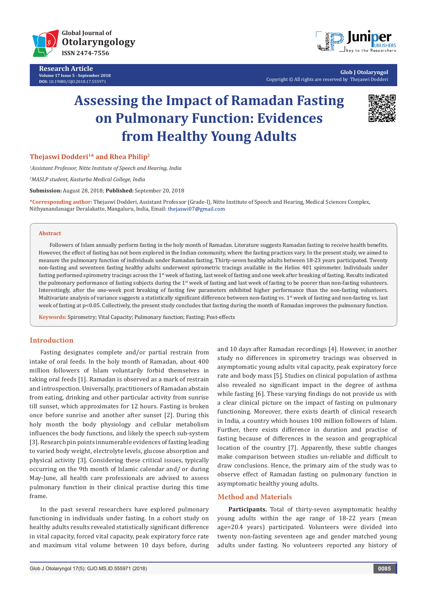

**Research Article Volume 17 Issue 5 - September 2018 DOI:** [10.19080/GJO.2018.17.555971](http://dx.doi.org/10.19080/GJO.2018.17.555971)



**Glob J Otolaryngol** Copyright © All rights are reserved by Thejaswi Dodderi

# **Assessing the Impact of Ramadan Fasting on Pulmonary Function: Evidences from Healthy Young Adults**



## **Thejaswi Dodderi1\* and Rhea Philip2**

*1 Assistant Professor, Nitte Institute of Speech and Hearing, India*

*2 MASLP student, Kasturba Medical College, India*

**Submission:** August 28, 2018; **Published:** September 20, 2018

**\*Corresponding author:** Thejaswi Dodderi, Assistant Professor (Grade-I), Nitte Institute of Speech and Hearing, Medical Sciences Complex, Nithyanandanagar Deralakatte, Mangaluru, India, Email:

#### **Abstract**

Followers of Islam annually perform fasting in the holy month of Ramadan. Literature suggests Ramadan fasting to receive health benefits. However, the effect of fasting has not been explored in the Indian community, where the fasting practices vary. In the present study, we aimed to measure the pulmonary function of individuals under Ramadan fasting. Thirty-seven healthy adults between 18-23 years participated. Twenty non-fasting and seventeen fasting healthy adults underwent spirometric tracings available in the Helios 401 spirometer. Individuals under fasting performed spirometry tracings across the 1<sup>st</sup> week of fasting, last week of fasting and one week after breaking of fasting. Results indicated the pulmonary performance of fasting subjects during the 1<sup>st</sup> week of fasting and last week of fasting to be poorer than non-fasting volunteers. Interestingly, after the one-week post breaking of fasting few parameters exhibited higher performance than the non-fasting volunteers. Multivariate analysis of variance suggests a statistically significant difference between non-fasting vs. 1st week of fasting and non-fasting vs. last week of fasting at p<0.05. Collectively, the present study concludes that fasting during the month of Ramadan improves the pulmonary function.

**Keywords:** Spirometry; Vital Capacity; Pulmonary function; Fasting; Post-effects

## **Introduction**

Fasting designates complete and/or partial restrain from intake of oral feeds. In the holy month of Ramadan, about 400 million followers of Islam voluntarily forbid themselves in taking oral feeds [1]. Ramadan is observed as a mark of restrain and introspection. Universally, practitioners of Ramadan abstain from eating, drinking and other particular activity from sunrise till sunset, which approximates for 12 hours. Fasting is broken once before sunrise and another after sunset [2]. During this holy month the body physiology and cellular metabolism influences the body functions, and likely the speech sub-system [3]. Research pin points innumerable evidences of fasting leading to varied body weight, electrolyte levels, glucose absorption and physical activity [3]. Considering these critical issues, typically occurring on the 9th month of Islamic calendar and/ or during May-June, all health care professionals are advised to assess pulmonary function in their clinical practise during this time frame.

In the past several researchers have explored pulmonary functioning in individuals under fasting. In a cohort study on healthy adults results revealed statistically significant difference in vital capacity, forced vital capacity, peak expiratory force rate and maximum vital volume between 10 days before, during and 10 days after Ramadan recordings [4]. However, in another study no differences in spirometry tracings was observed in asymptomatic young adults vital capacity, peak expiratory force rate and body mass [5]. Studies on clinical population of asthma also revealed no significant impact in the degree of asthma while fasting [6]. These varying findings do not provide us with a clear clinical picture on the impact of fasting on pulmonary functioning. Moreover, there exists dearth of clinical research in India, a country which houses 100 million followers of Islam. Further, there exists difference in duration and practise of fasting because of differences in the season and geographical location of the country [7]. Apparently, these subtle changes make comparison between studies un-reliable and difficult to draw conclusions. Hence, the primary aim of the study was to observe effect of Ramadan fasting on pulmonary function in asymptomatic healthy young adults.

## **Method and Materials**

**Participants.** Total of thirty-seven asymptomatic healthy young adults within the age range of 18-22 years (mean age=20.4 years) participated. Volunteers were divided into twenty non-fasting seventeen age and gender matched young adults under fasting. No volunteers reported any history of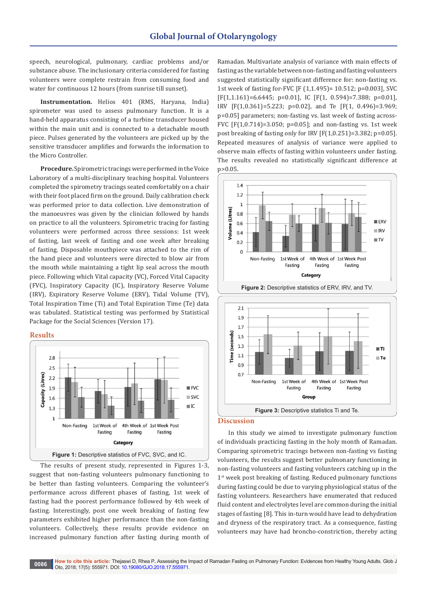speech, neurological, pulmonary, cardiac problems and/or substance abuse. The inclusionary criteria considered for fasting volunteers were complete restrain from consuming food and water for continuous 12 hours (from sunrise till sunset).

**Instrumentation.** Helios 401 (RMS, Haryana, India) spirometer was used to assess pulmonary function. It is a hand-held apparatus consisting of a turbine transducer housed within the main unit and is connected to a detachable mouth piece. Pulses generated by the volunteers are picked up by the sensitive transducer amplifies and forwards the information to the Micro Controller.

**Procedure.** Spirometric tracings were performed in the Voice Laboratory of a multi-disciplinary teaching hospital. Volunteers completed the spirometry tracings seated comfortably on a chair with their foot placed firm on the ground. Daily calibration check was performed prior to data collection. Live demonstration of the manoeuvres was given by the clinician followed by hands on practice to all the volunteers. Spirometric tracing for fasting volunteers were performed across three sessions: 1st week of fasting, last week of fasting and one week after breaking of fasting. Disposable mouthpiece was attached to the rim of the hand piece and volunteers were directed to blow air from the mouth while maintaining a tight lip seal across the mouth piece. Following which Vital capacity (VC), Forced Vital Capacity (FVC), Inspiratory Capacity (IC), Inspiratory Reserve Volume (IRV), Expiratory Reserve Volume (ERV), Tidal Volume (TV), Total Inspiration Time (Ti) and Total Expiration Time (Te) data was tabulated. Statistical testing was performed by Statistical Package for the Social Sciences (Version 17).





The results of present study, represented in Figures 1-3, suggest that non-fasting volunteers pulmonary functioning to be better than fasting volunteers. Comparing the volunteer's performance across different phases of fasting, 1st week of fasting had the poorest performance followed by 4th week of fasting. Interestingly, post one week breaking of fasting few parameters exhibited higher performance than the non-fasting volunteers. Collectively, these results provide evidence on increased pulmonary function after fasting during month of Ramadan. Multivariate analysis of variance with main effects of fasting as the variable between non-fasting and fasting volunteers suggested statistically significant difference for: non-fasting vs. 1st week of fasting for-FVC [F (1,1.495)= 10.512; p=0.003], SVC [F(1,1.161)=6.6445; p=0.01], IC [F(1, 0.594)=7.388; p=0.01], IRV [F(1,0.361)=5.223; p=0.02], and Te [F(1, 0.496)=3.969; p=0.05] parameters; non-fasting vs. last week of fasting across-FVC  $[F(1,0.714)=3.050; p=0.05]$ ; and non-fasting vs. 1st week post breaking of fasting only for IRV [F(1,0.251)=3.382; p=0.05]. Repeated measures of analysis of variance were applied to observe main effects of fasting within volunteers under fasting. The results revealed no statistically significant difference at p>0.05.



## **Discussion**

In this study we aimed to investigate pulmonary function of individuals practicing fasting in the holy month of Ramadan. Comparing spirometric tracings between non-fasting vs fasting volunteers, the results suggest better pulmonary functioning in non-fasting volunteers and fasting volunteers catching up in the 1<sup>st</sup> week post breaking of fasting. Reduced pulmonary functions during fasting could be due to varying physiological status of the fasting volunteers. Researchers have enumerated that reduced fluid content and electrolytes level are common during the initial stages of fasting [8]. This in-turn would have lead to dehydration and dryness of the respiratory tract. As a consequence, fasting volunteers may have had broncho-constriction, thereby acting